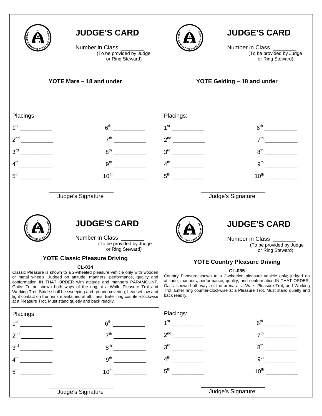|                                             | <b>JUDGE'S CARD</b><br>Number in Class _______<br>(To be provided by Judge<br>or Ring Steward)<br>YOTE Mare - 18 and under                                                                                                                                                                                                                                                                                                                        |                 | <b>JUDGE'S CARD</b><br>Number in Class<br>(To be provided by Judge<br>or Ring Steward)<br>YOTE Gelding - 18 and under                                                                                                                  |
|---------------------------------------------|---------------------------------------------------------------------------------------------------------------------------------------------------------------------------------------------------------------------------------------------------------------------------------------------------------------------------------------------------------------------------------------------------------------------------------------------------|-----------------|----------------------------------------------------------------------------------------------------------------------------------------------------------------------------------------------------------------------------------------|
|                                             |                                                                                                                                                                                                                                                                                                                                                                                                                                                   |                 |                                                                                                                                                                                                                                        |
|                                             |                                                                                                                                                                                                                                                                                                                                                                                                                                                   |                 |                                                                                                                                                                                                                                        |
| Placings:<br>1 <sup>st</sup>                | 6 <sup>th</sup>                                                                                                                                                                                                                                                                                                                                                                                                                                   | Placings:       |                                                                                                                                                                                                                                        |
|                                             | 7 <sup>th</sup>                                                                                                                                                                                                                                                                                                                                                                                                                                   |                 |                                                                                                                                                                                                                                        |
|                                             | $8^{th}$                                                                                                                                                                                                                                                                                                                                                                                                                                          |                 |                                                                                                                                                                                                                                        |
|                                             | $9^{th}$                                                                                                                                                                                                                                                                                                                                                                                                                                          |                 |                                                                                                                                                                                                                                        |
|                                             |                                                                                                                                                                                                                                                                                                                                                                                                                                                   |                 | $10^{th}$                                                                                                                                                                                                                              |
|                                             |                                                                                                                                                                                                                                                                                                                                                                                                                                                   |                 |                                                                                                                                                                                                                                        |
|                                             | Judge's Signature                                                                                                                                                                                                                                                                                                                                                                                                                                 |                 | Judge's Signature                                                                                                                                                                                                                      |
|                                             | <b>JUDGE'S CARD</b><br>Number in Class<br>(To be provided by Judge<br>or Ring Steward)<br><b>YOTE Classic Pleasure Driving</b><br><b>CL-034</b><br>Classic Pleasure is shown to a 2-wheeled pleasure vehicle only with wooden                                                                                                                                                                                                                     |                 | <b>JUDGE'S CARD</b><br>Number in Class ______<br>(To be provided by Judge<br>or Ring Steward)<br><b>YOTE Country Pleasure Driving</b><br><b>CL-035</b><br>Country Pleasure shown to a 2-wheeled pleasure vehicle only; judged on       |
|                                             | or metal wheels. Judged on attitude, manners, performance, quality and<br>conformation IN THAT ORDER with attitude and manners PARAMOUNT.<br>Gaits: To be shown both ways of the ring at a Walk, Pleasure Trot and<br>Working Trot. Stride shall be sweeping and ground-covering; headset low and<br>light contact on the reins maintained at all times. Enter ring counter-clockwise<br>at a Pleasure Trot. Must stand quietly and back readily. | back readily.   | attitude, manners, performance, quality, and conformation IN THAT ORDER.<br>Gaits: shown both ways of the arena at a Walk, Pleasure Trot, and Working<br>Trot. Enter ring counter-clockwise at a Pleasure Trot. Must stand quietly and |
| Placings:                                   |                                                                                                                                                                                                                                                                                                                                                                                                                                                   | Placings:       |                                                                                                                                                                                                                                        |
| 1 <sup>st</sup>                             | 6 <sup>th</sup>                                                                                                                                                                                                                                                                                                                                                                                                                                   |                 | 6 <sup>th</sup>                                                                                                                                                                                                                        |
| $2^{nd}$                                    | $7^{\text{th}}$                                                                                                                                                                                                                                                                                                                                                                                                                                   |                 | 7 <sup>th</sup>                                                                                                                                                                                                                        |
| 3 <sup>rd</sup>                             | 8 <sup>th</sup>                                                                                                                                                                                                                                                                                                                                                                                                                                   |                 | $8^{\text{th}}$                                                                                                                                                                                                                        |
| $\overline{\phantom{a}}$<br>$4^{\text{th}}$ | $9^{\text{th}}$                                                                                                                                                                                                                                                                                                                                                                                                                                   |                 | $9th$ and $\overline{\phantom{a}}$                                                                                                                                                                                                     |
| $5^{\mathsf{th}}$                           | $10^{\text{th}}$                                                                                                                                                                                                                                                                                                                                                                                                                                  | $5^{\text{th}}$ | $10^{\text{th}}$                                                                                                                                                                                                                       |
|                                             | Judge's Signature                                                                                                                                                                                                                                                                                                                                                                                                                                 |                 | Judge's Signature                                                                                                                                                                                                                      |